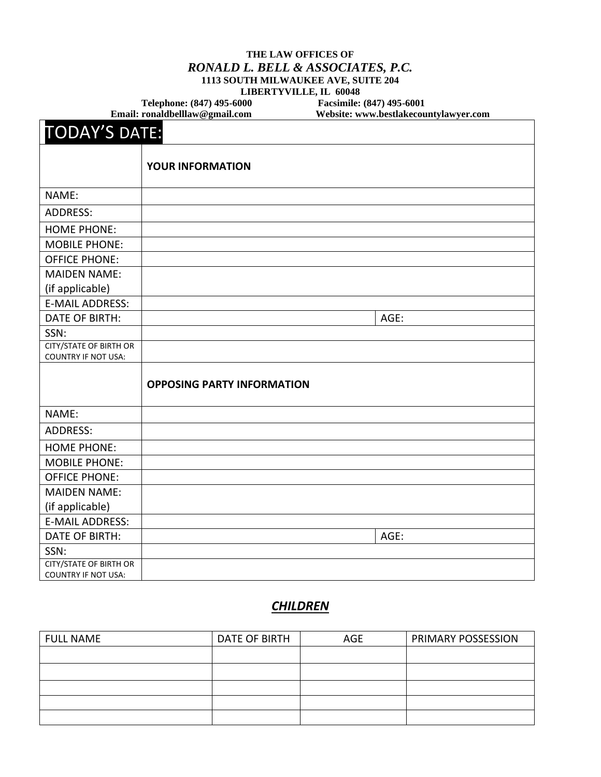#### **THE LAW OFFICES OF** *RONALD L. BELL & ASSOCIATES, P.C.* **1113 SOUTH MILWAUKEE AVE, SUITE 204 LIBERTYVILLE, IL 60048**

Telephone: (847) 495-6000 **Facsimile: (847) 495-6001**<br>Email: ronaldbelllaw@gmail.com Website: www.bestlakecou

**Email: [ronaldbelllaw@gmail.com](mailto:ronaldbelllaw@gmail.com) Website: www.bestlakecountylawyer.com**

| <b>TODAY'S DATE:</b>                                        |                                   |      |  |
|-------------------------------------------------------------|-----------------------------------|------|--|
|                                                             | <b>YOUR INFORMATION</b>           |      |  |
| NAME:                                                       |                                   |      |  |
| <b>ADDRESS:</b>                                             |                                   |      |  |
| <b>HOME PHONE:</b>                                          |                                   |      |  |
| <b>MOBILE PHONE:</b>                                        |                                   |      |  |
| <b>OFFICE PHONE:</b>                                        |                                   |      |  |
| <b>MAIDEN NAME:</b>                                         |                                   |      |  |
| (if applicable)                                             |                                   |      |  |
| <b>E-MAIL ADDRESS:</b>                                      |                                   |      |  |
| <b>DATE OF BIRTH:</b>                                       |                                   | AGE: |  |
| SSN:                                                        |                                   |      |  |
| CITY/STATE OF BIRTH OR<br><b>COUNTRY IF NOT USA:</b>        |                                   |      |  |
|                                                             | <b>OPPOSING PARTY INFORMATION</b> |      |  |
| NAME:                                                       |                                   |      |  |
| <b>ADDRESS:</b>                                             |                                   |      |  |
| <b>HOME PHONE:</b>                                          |                                   |      |  |
| <b>MOBILE PHONE:</b>                                        |                                   |      |  |
| <b>OFFICE PHONE:</b>                                        |                                   |      |  |
| <b>MAIDEN NAME:</b>                                         |                                   |      |  |
| (if applicable)                                             |                                   |      |  |
| <b>E-MAIL ADDRESS:</b>                                      |                                   |      |  |
| <b>DATE OF BIRTH:</b>                                       |                                   | AGE: |  |
| SSN:                                                        |                                   |      |  |
| <b>CITY/STATE OF BIRTH OR</b><br><b>COUNTRY IF NOT USA:</b> |                                   |      |  |

## *CHILDREN*

| <b>FULL NAME</b> | DATE OF BIRTH | <b>AGE</b> | PRIMARY POSSESSION |
|------------------|---------------|------------|--------------------|
|                  |               |            |                    |
|                  |               |            |                    |
|                  |               |            |                    |
|                  |               |            |                    |
|                  |               |            |                    |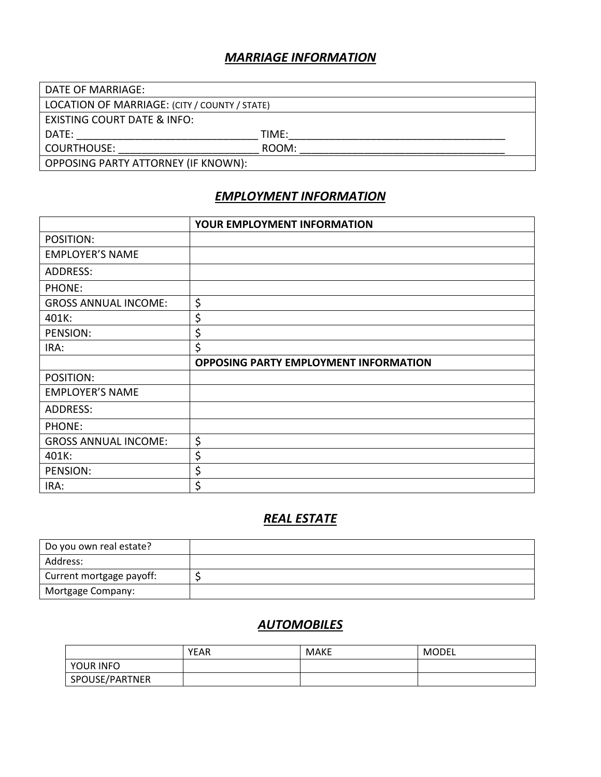#### *MARRIAGE INFORMATION*

| DATE OF MARRIAGE:                             |       |  |
|-----------------------------------------------|-------|--|
| LOCATION OF MARRIAGE: (CITY / COUNTY / STATE) |       |  |
| EXISTING COURT DATE & INFO:                   |       |  |
| DATE:                                         | TIME: |  |
| COURTHOUSE:                                   | ROOM: |  |
| OPPOSING PARTY ATTORNEY (IF KNOWN):           |       |  |

## *EMPLOYMENT INFORMATION*

|                             | YOUR EMPLOYMENT INFORMATION                  |
|-----------------------------|----------------------------------------------|
| POSITION:                   |                                              |
| <b>EMPLOYER'S NAME</b>      |                                              |
| ADDRESS:                    |                                              |
| PHONE:                      |                                              |
| <b>GROSS ANNUAL INCOME:</b> | \$                                           |
| 401K:                       | \$                                           |
| PENSION:                    | \$                                           |
| IRA:                        | \$                                           |
|                             |                                              |
|                             | <b>OPPOSING PARTY EMPLOYMENT INFORMATION</b> |
| POSITION:                   |                                              |
| <b>EMPLOYER'S NAME</b>      |                                              |
| ADDRESS:                    |                                              |
| PHONE:                      |                                              |
| <b>GROSS ANNUAL INCOME:</b> | \$                                           |
| 401K:                       | \$                                           |
| PENSION:                    | \$                                           |

# *REAL ESTATE*

| Do you own real estate?  |  |
|--------------------------|--|
| Address:                 |  |
| Current mortgage payoff: |  |
| Mortgage Company:        |  |

### *AUTOMOBILES*

|                | <b>YEAR</b> | <b>MAKE</b> | MODEL |
|----------------|-------------|-------------|-------|
| YOUR INFO      |             |             |       |
| SPOUSE/PARTNER |             |             |       |